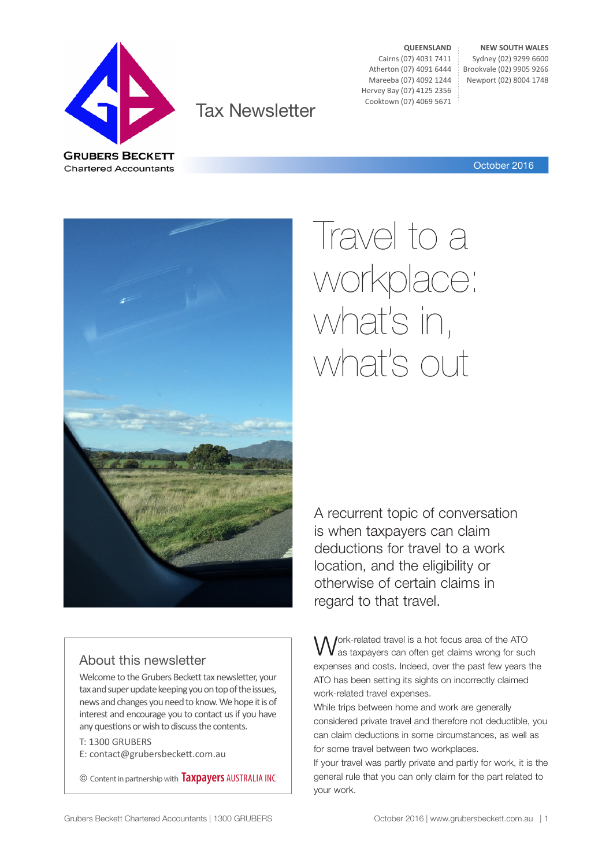

Tax Newsletter

**QUEENSLAND** Cairns (07) 4031 7411 Atherton (07) 4091 6444 Mareeba (07) 4092 1244 Hervey Bay (07) 4125 2356 Cooktown (07) 4069 5671

**NEW SOUTH WALES** Sydney (02) 9299 6600 Brookvale (02) 9905 9266 Newport (02) 8004 1748

October 2016



#### About this newsletter

Welcome to the Grubers Beckett tax newsletter, your tax and super update keeping you on top of the issues, news and changes you need to know. We hope it is of interest and encourage you to contact us if you have any questions or wish to discuss the contents.

T: 1300 GRUBERS E: contact@grubersbeckett.com.au

© Content in partnership with **Taxpayers** AUSTRALIA INC

# Travel to a workplace: what's in, what's out

A recurrent topic of conversation is when taxpayers can claim deductions for travel to a work location, and the eligibility or otherwise of certain claims in regard to that travel.

Jork-related travel is a hot focus area of the ATO as taxpayers can often get claims wrong for such expenses and costs. Indeed, over the past few years the ATO has been setting its sights on incorrectly claimed work-related travel expenses.

While trips between home and work are generally considered private travel and therefore not deductible, you can claim deductions in some circumstances, as well as for some travel between two workplaces.

If your travel was partly private and partly for work, it is the general rule that you can only claim for the part related to your work.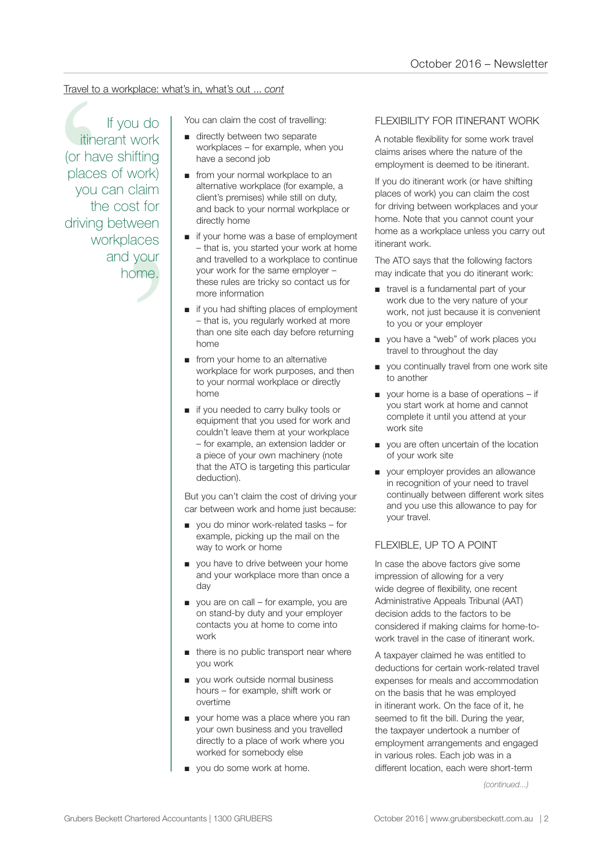#### Travel to a workplace: what's in, what's out ... *cont*

claim<br>st for<br>veen<br>aces<br>your<br>pme.<br>me. Travel to a workplace: what's in, what's out ... cont<br>
If you do<br>
Triends the cost of travelling:<br>
Triends work the cost of travelling<br>
(or have shifting<br>
places of work)<br>
you can claim<br>
the cost for<br>
workplaces<br>
workplace If you do itinerant work (or have shifting places of work) you can claim the cost for driving between workplaces and your home.

- directly between two separate workplaces – for example, when you have a second job
- from your normal workplace to an alternative workplace (for example, a client's premises) while still on duty, and back to your normal workplace or directly home
- if your home was a base of employment – that is, you started your work at home and travelled to a workplace to continue your work for the same employer – these rules are tricky so contact us for more information
- if you had shifting places of employment – that is, you regularly worked at more than one site each day before returning home
- from your home to an alternative workplace for work purposes, and then to your normal workplace or directly home
- if you needed to carry bulky tools or equipment that you used for work and couldn't leave them at your workplace – for example, an extension ladder or a piece of your own machinery (note that the ATO is targeting this particular deduction).

But you can't claim the cost of driving your car between work and home just because:

- you do minor work-related tasks for example, picking up the mail on the way to work or home
- you have to drive between your home and your workplace more than once a day
- you are on call for example, you are on stand-by duty and your employer contacts you at home to come into work
- there is no public transport near where you work
- you work outside normal business hours – for example, shift work or overtime
- your home was a place where you ran your own business and you travelled directly to a place of work where you worked for somebody else
- you do some work at home.

#### FLEXIBILITY FOR ITINERANT WORK

A notable flexibility for some work travel claims arises where the nature of the employment is deemed to be itinerant.

If you do itinerant work (or have shifting places of work) you can claim the cost for driving between workplaces and your home. Note that you cannot count your home as a workplace unless you carry out itinerant work.

The ATO says that the following factors may indicate that you do itinerant work:

- travel is a fundamental part of your work due to the very nature of your work, not just because it is convenient to you or your employer
- you have a "web" of work places you travel to throughout the day
- you continually travel from one work site to another
- your home is a base of operations if you start work at home and cannot complete it until you attend at your work site
- you are often uncertain of the location of your work site
- your employer provides an allowance in recognition of your need to travel continually between different work sites and you use this allowance to pay for your travel.

#### FLEXIBLE, UP TO A POINT

In case the above factors give some impression of allowing for a very wide degree of flexibility, one recent Administrative Appeals Tribunal (AAT) decision adds to the factors to be considered if making claims for home-towork travel in the case of itinerant work.

A taxpayer claimed he was entitled to deductions for certain work-related travel expenses for meals and accommodation on the basis that he was employed in itinerant work. On the face of it, he seemed to fit the bill. During the year, the taxpayer undertook a number of employment arrangements and engaged in various roles. Each job was in a different location, each were short-term

*(continued...)*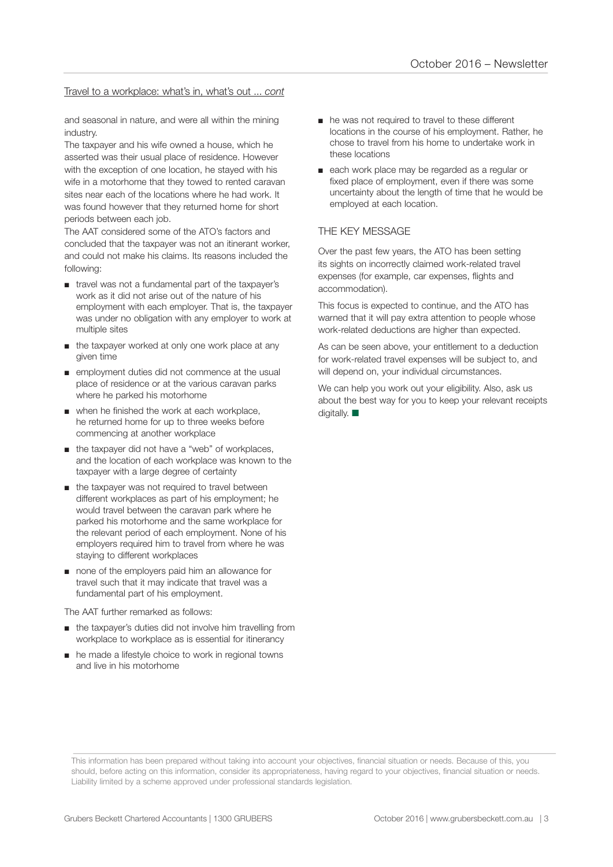#### Travel to a workplace: what's in, what's out ... *cont*

and seasonal in nature, and were all within the mining industry.

The taxpayer and his wife owned a house, which he asserted was their usual place of residence. However with the exception of one location, he stayed with his wife in a motorhome that they towed to rented caravan sites near each of the locations where he had work. It was found however that they returned home for short periods between each job.

The AAT considered some of the ATO's factors and concluded that the taxpayer was not an itinerant worker, and could not make his claims. Its reasons included the following:

- travel was not a fundamental part of the taxpayer's work as it did not arise out of the nature of his employment with each employer. That is, the taxpayer was under no obligation with any employer to work at multiple sites
- the taxpayer worked at only one work place at any given time
- employment duties did not commence at the usual place of residence or at the various caravan parks where he parked his motorhome
- when he finished the work at each workplace, he returned home for up to three weeks before commencing at another workplace
- the taxpayer did not have a "web" of workplaces, and the location of each workplace was known to the taxpayer with a large degree of certainty
- the taxpayer was not required to travel between different workplaces as part of his employment; he would travel between the caravan park where he parked his motorhome and the same workplace for the relevant period of each employment. None of his employers required him to travel from where he was staying to different workplaces
- none of the employers paid him an allowance for travel such that it may indicate that travel was a fundamental part of his employment.

The AAT further remarked as follows:

- the taxpayer's duties did not involve him travelling from workplace to workplace as is essential for itinerancy
- he made a lifestyle choice to work in regional towns and live in his motorhome
- he was not required to travel to these different locations in the course of his employment. Rather, he chose to travel from his home to undertake work in these locations
- each work place may be regarded as a regular or fixed place of employment, even if there was some uncertainty about the length of time that he would be employed at each location.

#### THE KEY MESSAGE

Over the past few years, the ATO has been setting its sights on incorrectly claimed work-related travel expenses (for example, car expenses, flights and accommodation).

This focus is expected to continue, and the ATO has warned that it will pay extra attention to people whose work-related deductions are higher than expected.

As can be seen above, your entitlement to a deduction for work-related travel expenses will be subject to, and will depend on, your individual circumstances.

We can help you work out your eligibility. Also, ask us about the best way for you to keep your relevant receipts digitally.  $\blacksquare$ 

This information has been prepared without taking into account your objectives, financial situation or needs. Because of this, you should, before acting on this information, consider its appropriateness, having regard to your objectives, financial situation or needs. Liability limited by a scheme approved under professional standards legislation.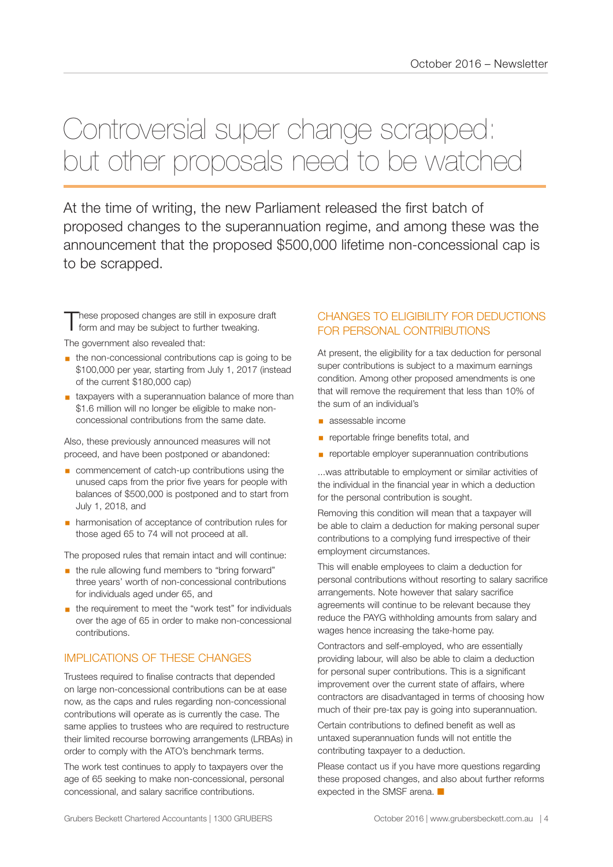### Controversial super change scrapped: but other proposals need to be watched

At the time of writing, the new Parliament released the first batch of proposed changes to the superannuation regime, and among these was the announcement that the proposed \$500,000 lifetime non-concessional cap is to be scrapped.

These proposed changes are still in exposure draft<br>
form and may be subject to further tweaking.

The government also revealed that:

- the non-concessional contributions cap is going to be \$100,000 per year, starting from July 1, 2017 (instead of the current \$180,000 cap)
- taxpayers with a superannuation balance of more than \$1.6 million will no longer be eligible to make nonconcessional contributions from the same date.

Also, these previously announced measures will not proceed, and have been postponed or abandoned:

- commencement of catch-up contributions using the unused caps from the prior five years for people with balances of \$500,000 is postponed and to start from July 1, 2018, and
- harmonisation of acceptance of contribution rules for those aged 65 to 74 will not proceed at all.

The proposed rules that remain intact and will continue:

- **■** the rule allowing fund members to "bring forward" three years' worth of non-concessional contributions for individuals aged under 65, and
- the requirement to meet the "work test" for individuals over the age of 65 in order to make non-concessional contributions.

#### IMPLICATIONS OF THESE CHANGES

Trustees required to finalise contracts that depended on large non-concessional contributions can be at ease now, as the caps and rules regarding non-concessional contributions will operate as is currently the case. The same applies to trustees who are required to restructure their limited recourse borrowing arrangements (LRBAs) in order to comply with the ATO's benchmark terms.

The work test continues to apply to taxpayers over the age of 65 seeking to make non-concessional, personal concessional, and salary sacrifice contributions.

#### CHANGES TO ELIGIBILITY FOR DEDUCTIONS FOR PERSONAL CONTRIBUTIONS

At present, the eligibility for a tax deduction for personal super contributions is subject to a maximum earnings condition. Among other proposed amendments is one that will remove the requirement that less than 10% of the sum of an individual's

- assessable income
- **•** reportable fringe benefits total, and
- **EX reportable employer superannuation contributions**

...was attributable to employment or similar activities of the individual in the financial year in which a deduction for the personal contribution is sought.

Removing this condition will mean that a taxpayer will be able to claim a deduction for making personal super contributions to a complying fund irrespective of their employment circumstances.

This will enable employees to claim a deduction for personal contributions without resorting to salary sacrifice arrangements. Note however that salary sacrifice agreements will continue to be relevant because they reduce the PAYG withholding amounts from salary and wages hence increasing the take-home pay.

Contractors and self-employed, who are essentially providing labour, will also be able to claim a deduction for personal super contributions. This is a significant improvement over the current state of affairs, where contractors are disadvantaged in terms of choosing how much of their pre-tax pay is going into superannuation.

Certain contributions to defined benefit as well as untaxed superannuation funds will not entitle the contributing taxpayer to a deduction.

Please contact us if you have more questions regarding these proposed changes, and also about further reforms expected in the SMSF arena.  $\blacksquare$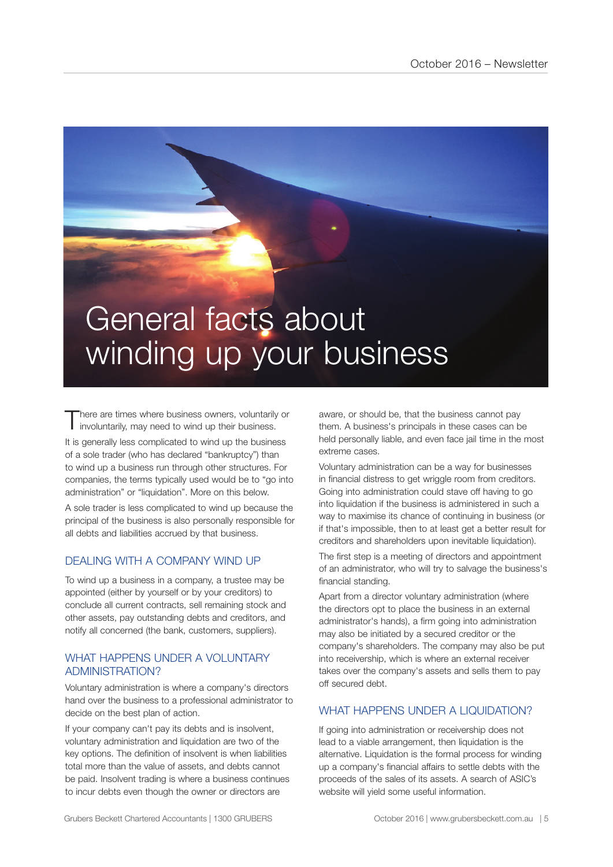## General facts about winding up your business

There are times where business owners, voluntarily or involuntarily, may need to wind up their business.

It is generally less complicated to wind up the business of a sole trader (who has declared "bankruptcy") than to wind up a business run through other structures. For companies, the terms typically used would be to "go into administration" or "liquidation". More on this below.

A sole trader is less complicated to wind up because the principal of the business is also personally responsible for all debts and liabilities accrued by that business.

#### DEALING WITH A COMPANY WIND UP

To wind up a business in a company, a trustee may be appointed (either by yourself or by your creditors) to conclude all current contracts, sell remaining stock and other assets, pay outstanding debts and creditors, and notify all concerned (the bank, customers, suppliers).

#### WHAT HAPPENS UNDER A VOLUNTARY ADMINISTRATION?

Voluntary administration is where a company's directors hand over the business to a professional administrator to decide on the best plan of action.

If your company can't pay its debts and is insolvent, voluntary administration and liquidation are two of the key options. The definition of insolvent is when liabilities total more than the value of assets, and debts cannot be paid. Insolvent trading is where a business continues to incur debts even though the owner or directors are

aware, or should be, that the business cannot pay them. A business's principals in these cases can be held personally liable, and even face jail time in the most extreme cases.

Voluntary administration can be a way for businesses in financial distress to get wriggle room from creditors. Going into administration could stave off having to go into liquidation if the business is administered in such a way to maximise its chance of continuing in business (or if that's impossible, then to at least get a better result for creditors and shareholders upon inevitable liquidation).

The first step is a meeting of directors and appointment of an administrator, who will try to salvage the business's financial standing.

Apart from a director voluntary administration (where the directors opt to place the business in an external administrator's hands), a firm going into administration may also be initiated by a secured creditor or the company's shareholders. The company may also be put into receivership, which is where an external receiver takes over the company's assets and sells them to pay off secured debt.

#### WHAT HAPPENS UNDER A LIQUIDATION?

If going into administration or receivership does not lead to a viable arrangement, then liquidation is the alternative. Liquidation is the formal process for winding up a company's financial affairs to settle debts with the proceeds of the sales of its assets. A search of ASIC's website will yield some useful information.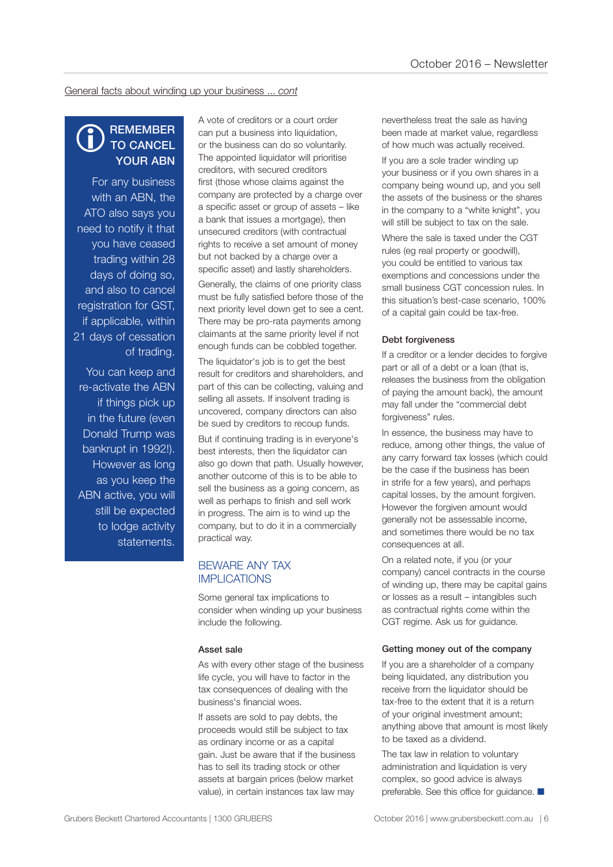General facts about winding up your business ... *cont*

#### **REMEMBER** TO CANCEL YOUR ABN  $\bigcirc$

For any business with an ABN, the ATO also says you need to notify it that you have ceased trading within 28 days of doing so, and also to cancel registration for GST, if applicable, within 21 days of cessation of trading.

You can keep and re-activate the ABN if things pick up in the future (even Donald Trump was bankrupt in 1992!). However as long as you keep the ABN active, you will still be expected to lodge activity statements.

A vote of creditors or a court order can put a business into liquidation, or the business can do so voluntarily. The appointed liquidator will prioritise creditors, with secured creditors first (those whose claims against the company are protected by a charge over a specific asset or group of assets – like a bank that issues a mortgage), then unsecured creditors (with contractual rights to receive a set amount of money but not backed by a charge over a specific asset) and lastly shareholders.

Generally, the claims of one priority class must be fully satisfied before those of the next priority level down get to see a cent. There may be pro-rata payments among claimants at the same priority level if not enough funds can be cobbled together.

The liquidator's job is to get the best result for creditors and shareholders, and part of this can be collecting, valuing and selling all assets. If insolvent trading is uncovered, company directors can also be sued by creditors to recoup funds.

But if continuing trading is in everyone's best interests, then the liquidator can also go down that path. Usually however, another outcome of this is to be able to sell the business as a going concern, as well as perhaps to finish and sell work in progress. The aim is to wind up the company, but to do it in a commercially practical way.

#### BEWARE ANY TAX IMPLICATIONS

Some general tax implications to consider when winding up your business include the following.

#### Asset sale

As with every other stage of the business life cycle, you will have to factor in the tax consequences of dealing with the business's financial woes.

If assets are sold to pay debts, the proceeds would still be subject to tax as ordinary income or as a capital gain. Just be aware that if the business has to sell its trading stock or other assets at bargain prices (below market value), in certain instances tax law may

nevertheless treat the sale as having been made at market value, regardless of how much was actually received.

If you are a sole trader winding up your business or if you own shares in a company being wound up, and you sell the assets of the business or the shares in the company to a "white knight", you will still be subject to tax on the sale.

Where the sale is taxed under the CGT rules (eg real property or goodwill), you could be entitled to various tax exemptions and concessions under the small business CGT concession rules. In this situation's best-case scenario, 100% of a capital gain could be tax-free.

#### Debt forgiveness

If a creditor or a lender decides to forgive part or all of a debt or a loan (that is, releases the business from the obligation of paying the amount back), the amount may fall under the "commercial debt forgiveness" rules.

In essence, the business may have to reduce, among other things, the value of any carry forward tax losses (which could be the case if the business has been in strife for a few years), and perhaps capital losses, by the amount forgiven. However the forgiven amount would generally not be assessable income, and sometimes there would be no tax consequences at all.

On a related note, if you (or your company) cancel contracts in the course of winding up, there may be capital gains or losses as a result – intangibles such as contractual rights come within the CGT regime. Ask us for guidance.

#### Getting money out of the company

If you are a shareholder of a company being liquidated, any distribution you receive from the liquidator should be tax-free to the extent that it is a return of your original investment amount; anything above that amount is most likely to be taxed as a dividend.

The tax law in relation to voluntary administration and liquidation is very complex, so good advice is always preferable. See this office for guidance.  $\blacksquare$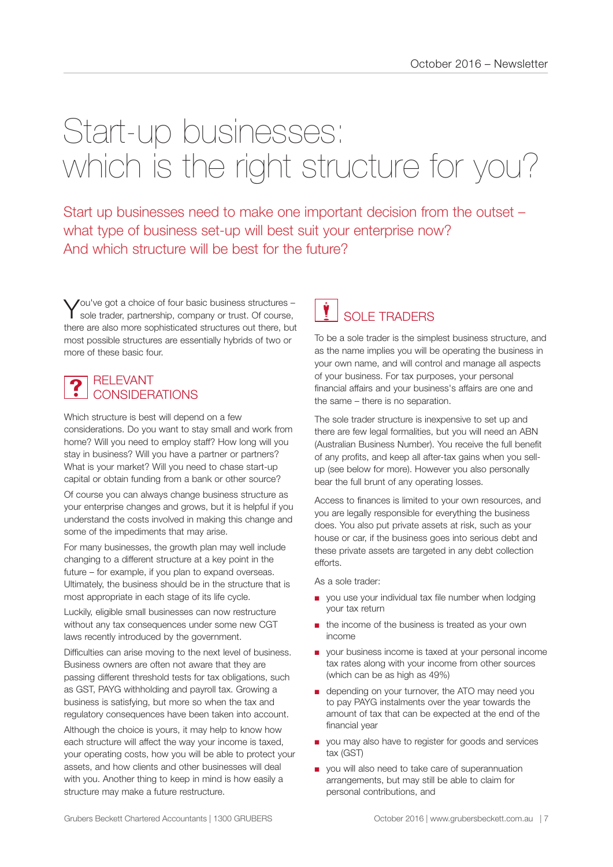## Start-up businesses: which is the right structure for you?

Start up businesses need to make one important decision from the outset – what type of business set-up will best suit your enterprise now? And which structure will be best for the future?

You've got a choice of four basic business structures -<br>Sole trader, partnership, company or trust. Of course, there are also more sophisticated structures out there, but most possible structures are essentially hybrids of two or more of these basic four.

#### RELEVANT CONSIDERATIONS  $\ddot{\textbf{?}}$

Which structure is best will depend on a few considerations. Do you want to stay small and work from home? Will you need to employ staff? How long will you stay in business? Will you have a partner or partners? What is your market? Will you need to chase start-up capital or obtain funding from a bank or other source?

Of course you can always change business structure as your enterprise changes and grows, but it is helpful if you understand the costs involved in making this change and some of the impediments that may arise.

For many businesses, the growth plan may well include changing to a different structure at a key point in the future – for example, if you plan to expand overseas. Ultimately, the business should be in the structure that is most appropriate in each stage of its life cycle.

Luckily, eligible small businesses can now restructure without any tax consequences under some new CGT laws recently introduced by the government.

Difficulties can arise moving to the next level of business. Business owners are often not aware that they are passing different threshold tests for tax obligations, such as GST, PAYG withholding and payroll tax. Growing a business is satisfying, but more so when the tax and regulatory consequences have been taken into account.

Although the choice is yours, it may help to know how each structure will affect the way your income is taxed, your operating costs, how you will be able to protect your assets, and how clients and other businesses will deal with you. Another thing to keep in mind is how easily a structure may make a future restructure.

#### SOLE TRADERS **v**

To be a sole trader is the simplest business structure, and as the name implies you will be operating the business in your own name, and will control and manage all aspects of your business. For tax purposes, your personal financial affairs and your business's affairs are one and the same – there is no separation.

The sole trader structure is inexpensive to set up and there are few legal formalities, but you will need an ABN (Australian Business Number). You receive the full benefit of any profits, and keep all after-tax gains when you sellup (see below for more). However you also personally bear the full brunt of any operating losses.

Access to finances is limited to your own resources, and you are legally responsible for everything the business does. You also put private assets at risk, such as your house or car, if the business goes into serious debt and these private assets are targeted in any debt collection efforts.

As a sole trader:

- you use your individual tax file number when lodging your tax return
- the income of the business is treated as your own income
- your business income is taxed at your personal income tax rates along with your income from other sources (which can be as high as 49%)
- depending on your turnover, the ATO may need you to pay PAYG instalments over the year towards the amount of tax that can be expected at the end of the financial year
- you may also have to register for goods and services tax (GST)
- you will also need to take care of superannuation arrangements, but may still be able to claim for personal contributions, and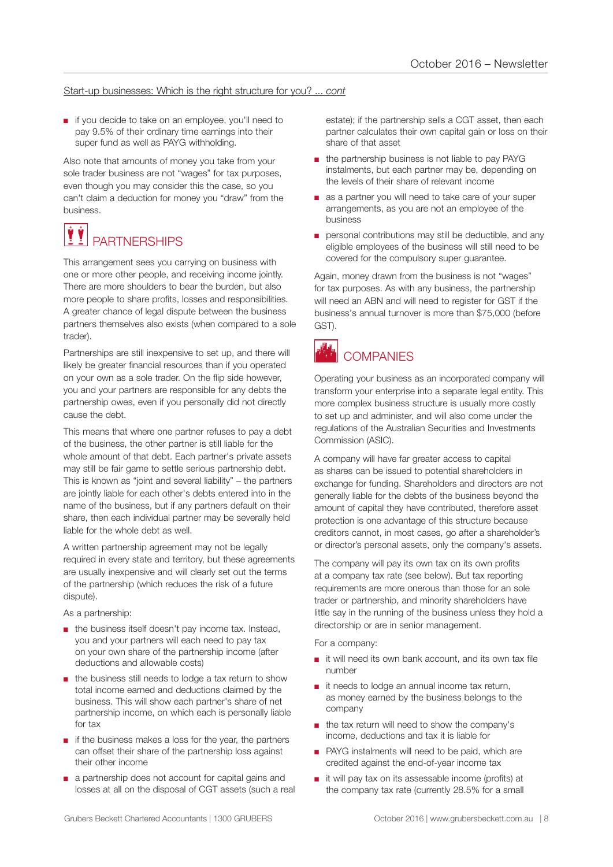#### Start-up businesses: Which is the right structure for you? ... *cont*

■ if you decide to take on an employee, you'll need to pay 9.5% of their ordinary time earnings into their super fund as well as PAYG withholding.

Also note that amounts of money you take from your sole trader business are not "wages" for tax purposes, even though you may consider this the case, so you can't claim a deduction for money you "draw" from the business.

#### **PARTNERSHIPS** VÝ

This arrangement sees you carrying on business with one or more other people, and receiving income jointly. There are more shoulders to bear the burden, but also more people to share profits, losses and responsibilities. A greater chance of legal dispute between the business partners themselves also exists (when compared to a sole trader).

Partnerships are still inexpensive to set up, and there will likely be greater financial resources than if you operated on your own as a sole trader. On the flip side however, you and your partners are responsible for any debts the partnership owes, even if you personally did not directly cause the debt.

This means that where one partner refuses to pay a debt of the business, the other partner is still liable for the whole amount of that debt. Each partner's private assets may still be fair game to settle serious partnership debt. This is known as "joint and several liability" – the partners are jointly liable for each other's debts entered into in the name of the business, but if any partners default on their share, then each individual partner may be severally held liable for the whole debt as well.

A written partnership agreement may not be legally required in every state and territory, but these agreements are usually inexpensive and will clearly set out the terms of the partnership (which reduces the risk of a future dispute).

As a partnership:

- the business itself doesn't pay income tax. Instead, you and your partners will each need to pay tax on your own share of the partnership income (after deductions and allowable costs)
- the business still needs to lodge a tax return to show total income earned and deductions claimed by the business. This will show each partner's share of net partnership income, on which each is personally liable for tax
- if the business makes a loss for the year, the partners can offset their share of the partnership loss against their other income
- a partnership does not account for capital gains and losses at all on the disposal of CGT assets (such a real

estate); if the partnership sells a CGT asset, then each partner calculates their own capital gain or loss on their share of that asset

- the partnership business is not liable to pay PAYG instalments, but each partner may be, depending on the levels of their share of relevant income
- as a partner you will need to take care of your super arrangements, as you are not an employee of the business
- personal contributions may still be deductible, and any eligible employees of the business will still need to be covered for the compulsory super guarantee.

Again, money drawn from the business is not "wages" for tax purposes. As with any business, the partnership will need an ABN and will need to register for GST if the business's annual turnover is more than \$75,000 (before GST).



### **COMPANIES**

Operating your business as an incorporated company will transform your enterprise into a separate legal entity. This more complex business structure is usually more costly to set up and administer, and will also come under the regulations of the Australian Securities and Investments Commission (ASIC).

A company will have far greater access to capital as shares can be issued to potential shareholders in exchange for funding. Shareholders and directors are not generally liable for the debts of the business beyond the amount of capital they have contributed, therefore asset protection is one advantage of this structure because creditors cannot, in most cases, go after a shareholder's or director's personal assets, only the company's assets.

The company will pay its own tax on its own profits at a company tax rate (see below). But tax reporting requirements are more onerous than those for an sole trader or partnership, and minority shareholders have little say in the running of the business unless they hold a directorship or are in senior management.

For a company:

- it will need its own bank account, and its own tax file number
- it needs to lodge an annual income tax return, as money earned by the business belongs to the company
- the tax return will need to show the company's income, deductions and tax it is liable for
- PAYG instalments will need to be paid, which are credited against the end-of-year income tax
- it will pay tax on its assessable income (profits) at the company tax rate (currently 28.5% for a small